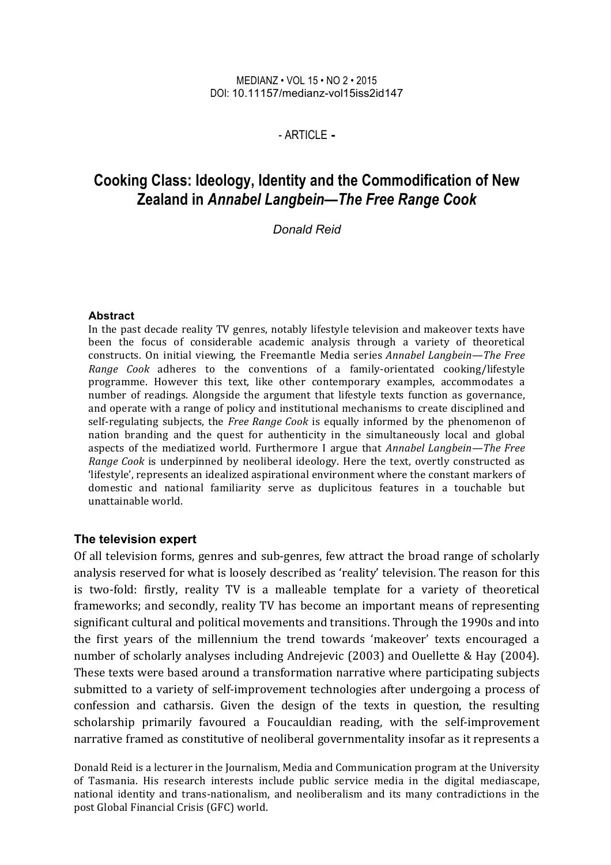#### MEDIANZ • VOL 15 • NO 2 • 2015 DOI: 10.11157/medianz-vol15iss2id147

#### - ARTICLE **-**

# **Cooking Class: Ideology, Identity and the Commodification of New Zealand in** *Annabel Langbein—The Free Range Cook*

*Donald Reid*

#### **Abstract**

In the past decade reality TV genres, notably lifestyle television and makeover texts have been the focus of considerable academic analysis through a variety of theoretical constructs. On initial viewing, the Freemantle Media series *Annabel Lanabein—The Free Range Cook* adheres to the conventions of a family-orientated cooking/lifestyle programme. However this text, like other contemporary examples, accommodates a number of readings. Alongside the argument that lifestyle texts function as governance, and operate with a range of policy and institutional mechanisms to create disciplined and self-regulating subjects, the *Free Range Cook* is equally informed by the phenomenon of nation branding and the quest for authenticity in the simultaneously local and global aspects of the mediatized world. Furthermore I argue that *Annabel Langbein—The Free Range Cook* is underpinned by neoliberal ideology. Here the text, overtly constructed as 'lifestyle', represents an idealized aspirational environment where the constant markers of domestic and national familiarity serve as duplicitous features in a touchable but unattainable world.

#### **The television expert**

Of all television forms, genres and sub-genres, few attract the broad range of scholarly analysis reserved for what is loosely described as 'reality' television. The reason for this is two-fold: firstly, reality TV is a malleable template for a variety of theoretical frameworks; and secondly, reality TV has become an important means of representing significant cultural and political movements and transitions. Through the 1990s and into the first years of the millennium the trend towards 'makeover' texts encouraged a number of scholarly analyses including Andrejevic (2003) and Ouellette & Hay (2004). These texts were based around a transformation narrative where participating subjects submitted to a variety of self-improvement technologies after undergoing a process of confession and catharsis. Given the design of the texts in question, the resulting scholarship primarily favoured a Foucauldian reading, with the self-improvement narrative framed as constitutive of neoliberal governmentality insofar as it represents a

Donald Reid is a lecturer in the Journalism, Media and Communication program at the University of Tasmania. His research interests include public service media in the digital mediascape, national identity and trans-nationalism, and neoliberalism and its many contradictions in the post Global Financial Crisis (GFC) world.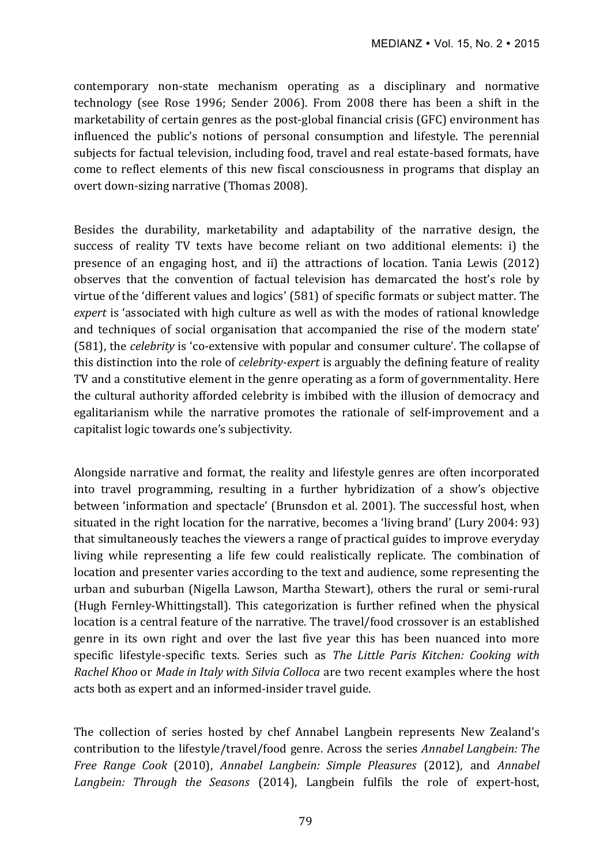contemporary non-state mechanism operating as a disciplinary and normative technology (see Rose 1996; Sender 2006). From 2008 there has been a shift in the marketability of certain genres as the post-global financial crisis (GFC) environment has influenced the public's notions of personal consumption and lifestyle. The perennial subjects for factual television, including food, travel and real estate-based formats, have come to reflect elements of this new fiscal consciousness in programs that display an overt down-sizing narrative (Thomas 2008).

Besides the durability, marketability and adaptability of the narrative design, the success of reality TV texts have become reliant on two additional elements: i) the presence of an engaging host, and ii) the attractions of location. Tania Lewis  $(2012)$ observes that the convention of factual television has demarcated the host's role by virtue of the 'different values and logics' (581) of specific formats or subject matter. The *expert* is 'associated with high culture as well as with the modes of rational knowledge and techniques of social organisation that accompanied the rise of the modern state' (581), the *celebrity* is 'co-extensive with popular and consumer culture'. The collapse of this distinction into the role of *celebrity-expert* is arguably the defining feature of reality TV and a constitutive element in the genre operating as a form of governmentality. Here the cultural authority afforded celebrity is imbibed with the illusion of democracy and egalitarianism while the narrative promotes the rationale of self-improvement and a capitalist logic towards one's subjectivity.

Alongside narrative and format, the reality and lifestyle genres are often incorporated into travel programming, resulting in a further hybridization of a show's objective between 'information and spectacle' (Brunsdon et al. 2001). The successful host, when situated in the right location for the narrative, becomes a 'living brand' (Lury 2004: 93) that simultaneously teaches the viewers a range of practical guides to improve everyday living while representing a life few could realistically replicate. The combination of location and presenter varies according to the text and audience, some representing the urban and suburban (Nigella Lawson, Martha Stewart), others the rural or semi-rural (Hugh Fernley-Whittingstall). This categorization is further refined when the physical location is a central feature of the narrative. The travel/food crossover is an established genre in its own right and over the last five year this has been nuanced into more specific lifestyle-specific texts. Series such as *The Little Paris Kitchen: Cooking with Rachel Khoo* or *Made in Italy with Silvia Colloca* are two recent examples where the host acts both as expert and an informed-insider travel guide.

The collection of series hosted by chef Annabel Langbein represents New Zealand's contribution to the lifestyle/travel/food genre. Across the series *Annabel Langbein: The Free Range Cook* (2010), *Annabel Langbein: Simple Pleasures* (2012), and *Annabel* Langbein: Through the Seasons (2014), Langbein fulfils the role of expert-host,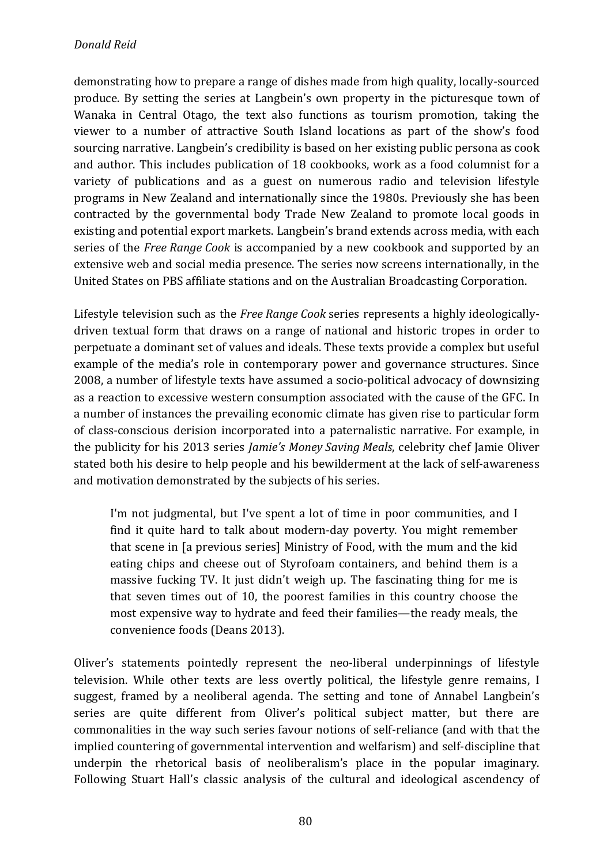demonstrating how to prepare a range of dishes made from high quality, locally-sourced produce. By setting the series at Langbein's own property in the picturesque town of Wanaka in Central Otago, the text also functions as tourism promotion, taking the viewer to a number of attractive South Island locations as part of the show's food sourcing narrative. Langbein's credibility is based on her existing public persona as cook and author. This includes publication of 18 cookbooks, work as a food columnist for a variety of publications and as a guest on numerous radio and television lifestyle programs in New Zealand and internationally since the 1980s. Previously she has been contracted by the governmental body Trade New Zealand to promote local goods in existing and potential export markets. Langbein's brand extends across media, with each series of the *Free Range Cook* is accompanied by a new cookbook and supported by an extensive web and social media presence. The series now screens internationally, in the United States on PBS affiliate stations and on the Australian Broadcasting Corporation.

Lifestyle television such as the *Free Range Cook* series represents a highly ideologicallydriven textual form that draws on a range of national and historic tropes in order to perpetuate a dominant set of values and ideals. These texts provide a complex but useful example of the media's role in contemporary power and governance structures. Since 2008, a number of lifestyle texts have assumed a socio-political advocacy of downsizing as a reaction to excessive western consumption associated with the cause of the GFC. In a number of instances the prevailing economic climate has given rise to particular form of class-conscious derision incorporated into a paternalistic narrative. For example, in the publicity for his 2013 series *Jamie's Money Saving Meals*, celebrity chef Jamie Oliver stated both his desire to help people and his bewilderment at the lack of self-awareness and motivation demonstrated by the subjects of his series.

I'm not judgmental, but I've spent a lot of time in poor communities, and I find it quite hard to talk about modern-day poverty. You might remember that scene in Ia previous series] Ministry of Food, with the mum and the kid eating chips and cheese out of Styrofoam containers, and behind them is a massive fucking TV. It just didn't weigh up. The fascinating thing for me is that seven times out of 10, the poorest families in this country choose the most expensive way to hydrate and feed their families—the ready meals, the convenience foods (Deans 2013).

Oliver's statements pointedly represent the neo-liberal underpinnings of lifestyle television. While other texts are less overtly political, the lifestyle genre remains, I suggest, framed by a neoliberal agenda. The setting and tone of Annabel Langbein's series are quite different from Oliver's political subject matter, but there are commonalities in the way such series favour notions of self-reliance (and with that the implied countering of governmental intervention and welfarism) and self-discipline that underpin the rhetorical basis of neoliberalism's place in the popular imaginary. Following Stuart Hall's classic analysis of the cultural and ideological ascendency of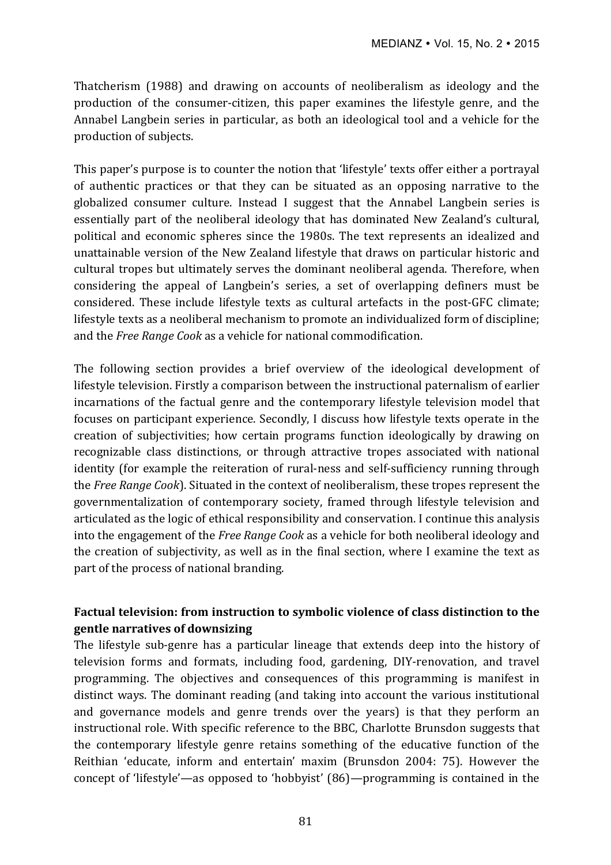Thatcherism (1988) and drawing on accounts of neoliberalism as ideology and the production of the consumer-citizen, this paper examines the lifestyle genre, and the Annabel Langbein series in particular, as both an ideological tool and a vehicle for the production of subjects.

This paper's purpose is to counter the notion that 'lifestyle' texts offer either a portrayal of authentic practices or that they can be situated as an opposing narrative to the globalized consumer culture. Instead I suggest that the Annabel Langbein series is essentially part of the neoliberal ideology that has dominated New Zealand's cultural, political and economic spheres since the 1980s. The text represents an idealized and unattainable version of the New Zealand lifestyle that draws on particular historic and cultural tropes but ultimately serves the dominant neoliberal agenda. Therefore, when considering the appeal of Langbein's series, a set of overlapping definers must be considered. These include lifestyle texts as cultural artefacts in the post-GFC climate; lifestyle texts as a neoliberal mechanism to promote an individualized form of discipline; and the *Free Range Cook* as a vehicle for national commodification.

The following section provides a brief overview of the ideological development of lifestyle television. Firstly a comparison between the instructional paternalism of earlier incarnations of the factual genre and the contemporary lifestyle television model that focuses on participant experience. Secondly, I discuss how lifestyle texts operate in the creation of subjectivities; how certain programs function ideologically by drawing on recognizable class distinctions, or through attractive tropes associated with national identity (for example the reiteration of rural-ness and self-sufficiency running through the *Free Range Cook*). Situated in the context of neoliberalism, these tropes represent the governmentalization of contemporary society, framed through lifestyle television and articulated as the logic of ethical responsibility and conservation. I continue this analysis into the engagement of the *Free Range Cook* as a vehicle for both neoliberal ideology and the creation of subjectivity, as well as in the final section, where I examine the text as part of the process of national branding.

# Factual television: from instruction to symbolic violence of class distinction to the **gentle narratives of downsizing**

The lifestyle sub-genre has a particular lineage that extends deep into the history of television forms and formats, including food, gardening, DIY-renovation, and travel programming. The objectives and consequences of this programming is manifest in distinct ways. The dominant reading (and taking into account the various institutional and governance models and genre trends over the years) is that they perform an instructional role. With specific reference to the BBC, Charlotte Brunsdon suggests that the contemporary lifestyle genre retains something of the educative function of the Reithian 'educate, inform and entertain' maxim (Brunsdon 2004: 75). However the concept of 'lifestyle'—as opposed to 'hobbyist'  $(86)$ —programming is contained in the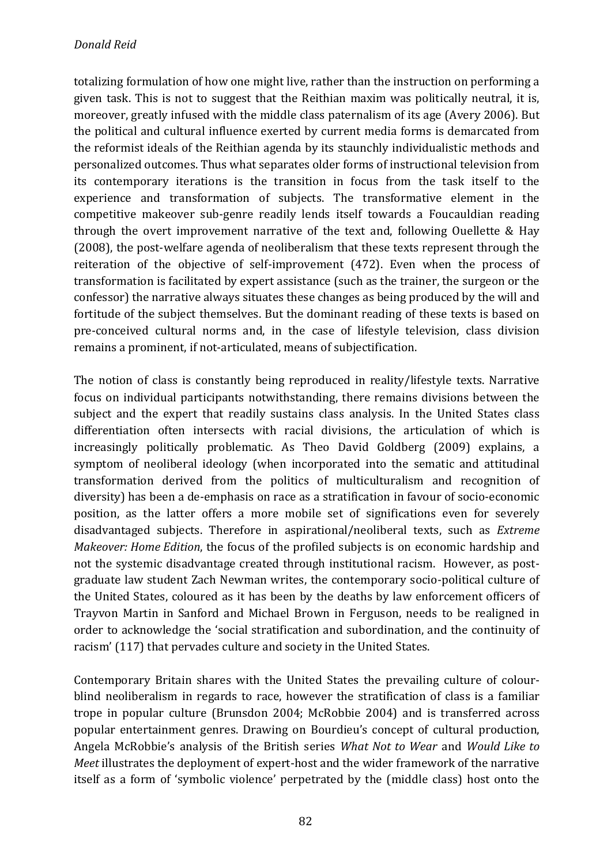totalizing formulation of how one might live, rather than the instruction on performing a given task. This is not to suggest that the Reithian maxim was politically neutral, it is, moreover, greatly infused with the middle class paternalism of its age (Avery 2006). But the political and cultural influence exerted by current media forms is demarcated from the reformist ideals of the Reithian agenda by its staunchly individualistic methods and personalized outcomes. Thus what separates older forms of instructional television from its contemporary iterations is the transition in focus from the task itself to the experience and transformation of subjects. The transformative element in the competitive makeover sub-genre readily lends itself towards a Foucauldian reading through the overt improvement narrative of the text and, following Ouellette  $\&$  Hay  $(2008)$ , the post-welfare agenda of neoliberalism that these texts represent through the reiteration of the objective of self-improvement  $(472)$ . Even when the process of transformation is facilitated by expert assistance (such as the trainer, the surgeon or the confessor) the narrative always situates these changes as being produced by the will and fortitude of the subject themselves. But the dominant reading of these texts is based on pre-conceived cultural norms and, in the case of lifestyle television, class division remains a prominent, if not-articulated, means of subjectification.

The notion of class is constantly being reproduced in reality/lifestyle texts. Narrative focus on individual participants notwithstanding, there remains divisions between the subject and the expert that readily sustains class analysis. In the United States class differentiation often intersects with racial divisions, the articulation of which is increasingly politically problematic. As Theo David Goldberg (2009) explains, a symptom of neoliberal ideology (when incorporated into the sematic and attitudinal transformation derived from the politics of multiculturalism and recognition of diversity) has been a de-emphasis on race as a stratification in favour of socio-economic position, as the latter offers a more mobile set of significations even for severely disadvantaged subjects. Therefore in aspirational/neoliberal texts, such as *Extreme Makeover: Home Edition*, the focus of the profiled subjects is on economic hardship and not the systemic disadvantage created through institutional racism. However, as postgraduate law student Zach Newman writes, the contemporary socio-political culture of the United States, coloured as it has been by the deaths by law enforcement officers of Trayvon Martin in Sanford and Michael Brown in Ferguson, needs to be realigned in order to acknowledge the 'social stratification and subordination, and the continuity of racism' (117) that pervades culture and society in the United States.

Contemporary Britain shares with the United States the prevailing culture of colourblind neoliberalism in regards to race, however the stratification of class is a familiar trope in popular culture (Brunsdon 2004; McRobbie 2004) and is transferred across popular entertainment genres. Drawing on Bourdieu's concept of cultural production, Angela McRobbie's analysis of the British series *What Not to Wear* and *Would Like to Meet* illustrates the deployment of expert-host and the wider framework of the narrative itself as a form of 'symbolic violence' perpetrated by the (middle class) host onto the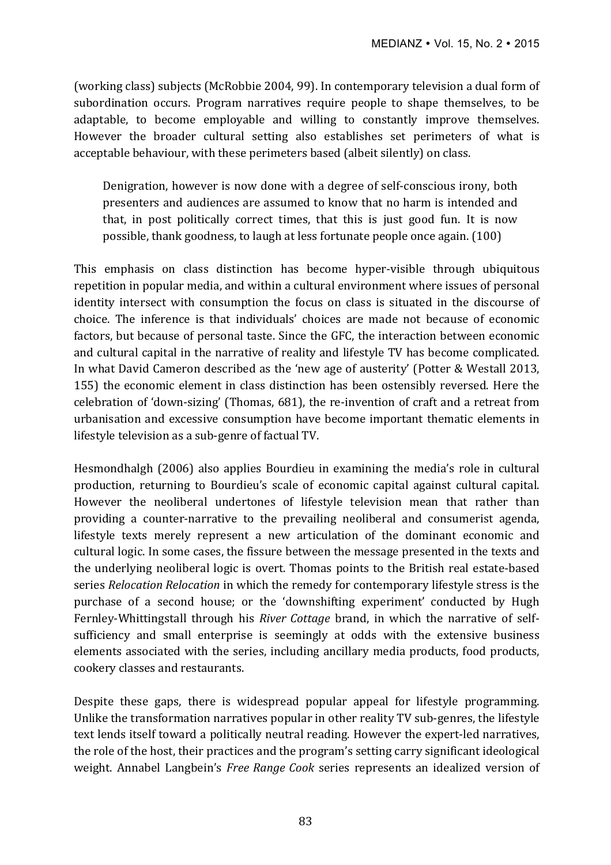(working class) subjects (McRobbie 2004, 99). In contemporary television a dual form of subordination occurs. Program narratives require people to shape themselves, to be adaptable, to become employable and willing to constantly improve themselves. However the broader cultural setting also establishes set perimeters of what is acceptable behaviour, with these perimeters based (albeit silently) on class.

Denigration, however is now done with a degree of self-conscious irony, both presenters and audiences are assumed to know that no harm is intended and that, in post politically correct times, that this is just good fun. It is now possible, thank goodness, to laugh at less fortunate people once again. (100)

This emphasis on class distinction has become hyper-visible through ubiquitous repetition in popular media, and within a cultural environment where issues of personal identity intersect with consumption the focus on class is situated in the discourse of choice. The inference is that individuals' choices are made not because of economic factors, but because of personal taste. Since the GFC, the interaction between economic and cultural capital in the narrative of reality and lifestyle TV has become complicated. In what David Cameron described as the 'new age of austerity' (Potter & Westall 2013, 155) the economic element in class distinction has been ostensibly reversed. Here the celebration of 'down-sizing' (Thomas, 681), the re-invention of craft and a retreat from urbanisation and excessive consumption have become important thematic elements in lifestyle television as a sub-genre of factual TV.

Hesmondhalgh (2006) also applies Bourdieu in examining the media's role in cultural production, returning to Bourdieu's scale of economic capital against cultural capital. However the neoliberal undertones of lifestyle television mean that rather than providing a counter-narrative to the prevailing neoliberal and consumerist agenda, lifestyle texts merely represent a new articulation of the dominant economic and cultural logic. In some cases, the fissure between the message presented in the texts and the underlying neoliberal logic is overt. Thomas points to the British real estate-based series *Relocation Relocation* in which the remedy for contemporary lifestyle stress is the purchase of a second house; or the 'downshifting experiment' conducted by Hugh Fernley-Whittingstall through his *River Cottage* brand, in which the narrative of selfsufficiency and small enterprise is seemingly at odds with the extensive business elements associated with the series, including ancillary media products, food products, cookery classes and restaurants.

Despite these gaps, there is widespread popular appeal for lifestyle programming. Unlike the transformation narratives popular in other reality TV sub-genres, the lifestyle text lends itself toward a politically neutral reading. However the expert-led narratives, the role of the host, their practices and the program's setting carry significant ideological weight. Annabel Langbein's *Free Range Cook* series represents an idealized version of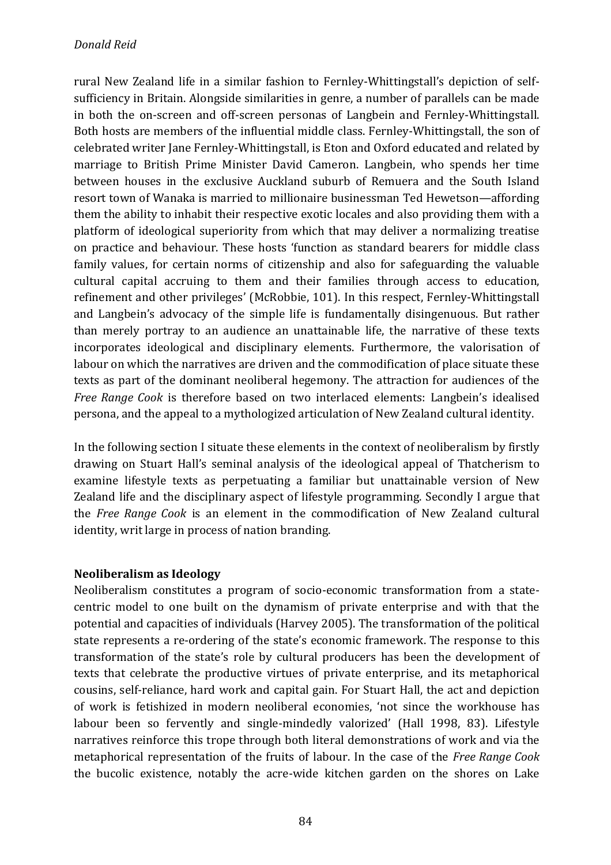rural New Zealand life in a similar fashion to Fernley-Whittingstall's depiction of selfsufficiency in Britain. Alongside similarities in genre, a number of parallels can be made in both the on-screen and off-screen personas of Langbein and Fernley-Whittingstall. Both hosts are members of the influential middle class. Fernley-Whittingstall, the son of celebrated writer Jane Fernley-Whittingstall, is Eton and Oxford educated and related by marriage to British Prime Minister David Cameron. Langbein, who spends her time between houses in the exclusive Auckland suburb of Remuera and the South Island resort town of Wanaka is married to millionaire businessman Ted Hewetson—affording them the ability to inhabit their respective exotic locales and also providing them with a platform of ideological superiority from which that may deliver a normalizing treatise on practice and behaviour. These hosts 'function as standard bearers for middle class family values, for certain norms of citizenship and also for safeguarding the valuable cultural capital accruing to them and their families through access to education, refinement and other privileges' (McRobbie, 101). In this respect, Fernley-Whittingstall and Langbein's advocacy of the simple life is fundamentally disingenuous. But rather than merely portray to an audience an unattainable life, the narrative of these texts incorporates ideological and disciplinary elements. Furthermore, the valorisation of labour on which the narratives are driven and the commodification of place situate these texts as part of the dominant neoliberal hegemony. The attraction for audiences of the *Free Range Cook* is therefore based on two interlaced elements: Langbein's idealised persona, and the appeal to a mythologized articulation of New Zealand cultural identity.

In the following section I situate these elements in the context of neoliberalism by firstly drawing on Stuart Hall's seminal analysis of the ideological appeal of Thatcherism to examine lifestyle texts as perpetuating a familiar but unattainable version of New Zealand life and the disciplinary aspect of lifestyle programming. Secondly I argue that the *Free Range Cook* is an element in the commodification of New Zealand cultural identity, writ large in process of nation branding.

## **Neoliberalism as Ideology**

Neoliberalism constitutes a program of socio-economic transformation from a statecentric model to one built on the dynamism of private enterprise and with that the potential and capacities of individuals (Harvey 2005). The transformation of the political state represents a re-ordering of the state's economic framework. The response to this transformation of the state's role by cultural producers has been the development of texts that celebrate the productive virtues of private enterprise, and its metaphorical cousins, self-reliance, hard work and capital gain. For Stuart Hall, the act and depiction of work is fetishized in modern neoliberal economies, 'not since the workhouse has labour been so fervently and single-mindedly valorized' (Hall 1998, 83). Lifestyle narratives reinforce this trope through both literal demonstrations of work and via the metaphorical representation of the fruits of labour. In the case of the *Free Range Cook* the bucolic existence, notably the acre-wide kitchen garden on the shores on Lake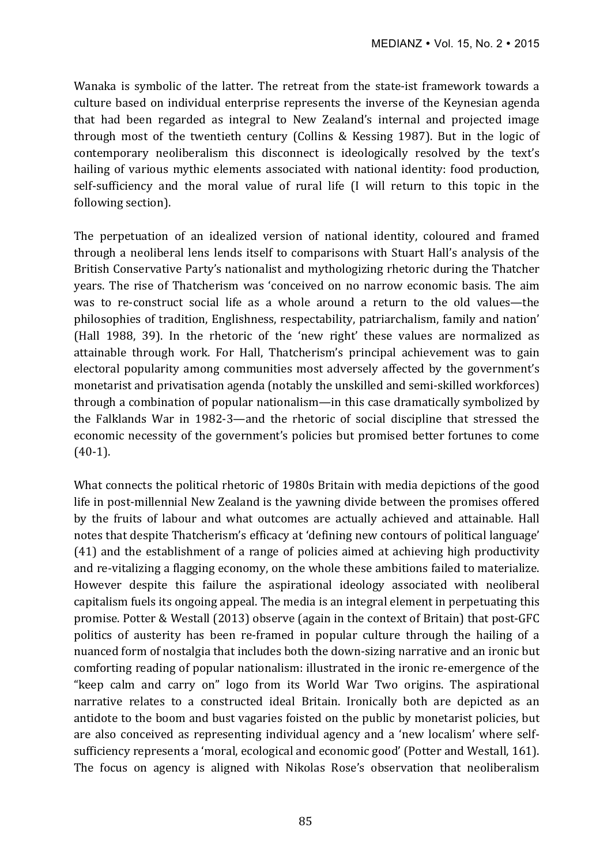Wanaka is symbolic of the latter. The retreat from the state-ist framework towards a culture based on individual enterprise represents the inverse of the Keynesian agenda that had been regarded as integral to New Zealand's internal and projected image through most of the twentieth century (Collins & Kessing 1987). But in the logic of contemporary neoliberalism this disconnect is ideologically resolved by the text's hailing of various mythic elements associated with national identity: food production, self-sufficiency and the moral value of rural life (I will return to this topic in the following section).

The perpetuation of an idealized version of national identity, coloured and framed through a neoliberal lens lends itself to comparisons with Stuart Hall's analysis of the British Conservative Party's nationalist and mythologizing rhetoric during the Thatcher years. The rise of Thatcherism was 'conceived on no narrow economic basis. The aim was to re-construct social life as a whole around a return to the old values—the philosophies of tradition, Englishness, respectability, patriarchalism, family and nation' (Hall 1988, 39). In the rhetoric of the 'new right' these values are normalized as attainable through work. For Hall, Thatcherism's principal achievement was to gain electoral popularity among communities most adversely affected by the government's monetarist and privatisation agenda (notably the unskilled and semi-skilled workforces) through a combination of popular nationalism—in this case dramatically symbolized by the Falklands War in 1982-3—and the rhetoric of social discipline that stressed the economic necessity of the government's policies but promised better fortunes to come (40-1).

What connects the political rhetoric of 1980s Britain with media depictions of the good life in post-millennial New Zealand is the vawning divide between the promises offered by the fruits of labour and what outcomes are actually achieved and attainable. Hall notes that despite Thatcherism's efficacy at 'defining new contours of political language'  $(41)$  and the establishment of a range of policies aimed at achieving high productivity and re-vitalizing a flagging economy, on the whole these ambitions failed to materialize. However despite this failure the aspirational ideology associated with neoliberal capitalism fuels its ongoing appeal. The media is an integral element in perpetuating this promise. Potter & Westall (2013) observe (again in the context of Britain) that post-GFC politics of austerity has been re-framed in popular culture through the hailing of a nuanced form of nostalgia that includes both the down-sizing narrative and an ironic but comforting reading of popular nationalism: illustrated in the ironic re-emergence of the "keep calm and carry on" logo from its World War Two origins. The aspirational narrative relates to a constructed ideal Britain. Ironically both are depicted as an antidote to the boom and bust vagaries foisted on the public by monetarist policies, but are also conceived as representing individual agency and a 'new localism' where selfsufficiency represents a 'moral, ecological and economic good' (Potter and Westall, 161). The focus on agency is aligned with Nikolas Rose's observation that neoliberalism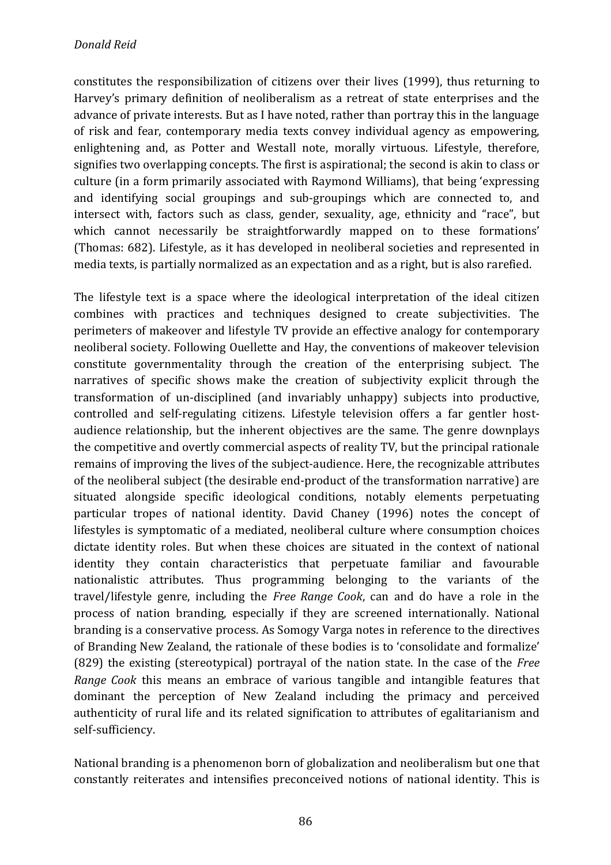constitutes the responsibilization of citizens over their lives (1999), thus returning to Harvey's primary definition of neoliberalism as a retreat of state enterprises and the advance of private interests. But as I have noted, rather than portray this in the language of risk and fear, contemporary media texts convey individual agency as empowering, enlightening and, as Potter and Westall note, morally virtuous. Lifestyle, therefore, signifies two overlapping concepts. The first is aspirational; the second is akin to class or culture (in a form primarily associated with Raymond Williams), that being 'expressing and identifying social groupings and sub-groupings which are connected to, and intersect with, factors such as class, gender, sexuality, age, ethnicity and "race", but which cannot necessarily be straightforwardly mapped on to these formations' (Thomas: 682). Lifestyle, as it has developed in neoliberal societies and represented in media texts, is partially normalized as an expectation and as a right, but is also rarefied.

The lifestyle text is a space where the ideological interpretation of the ideal citizen combines with practices and techniques designed to create subjectivities. The perimeters of makeover and lifestyle TV provide an effective analogy for contemporary neoliberal society. Following Ouellette and Hay, the conventions of makeover television constitute governmentality through the creation of the enterprising subject. The narratives of specific shows make the creation of subjectivity explicit through the transformation of un-disciplined (and invariably unhappy) subjects into productive, controlled and self-regulating citizens. Lifestyle television offers a far gentler hostaudience relationship, but the inherent objectives are the same. The genre downplays the competitive and overtly commercial aspects of reality TV, but the principal rationale remains of improving the lives of the subject-audience. Here, the recognizable attributes of the neoliberal subject (the desirable end-product of the transformation narrative) are situated alongside specific ideological conditions, notably elements perpetuating particular tropes of national identity. David Chaney (1996) notes the concept of lifestyles is symptomatic of a mediated, neoliberal culture where consumption choices dictate identity roles. But when these choices are situated in the context of national identity they contain characteristics that perpetuate familiar and favourable nationalistic attributes. Thus programming belonging to the variants of the travel/lifestyle genre, including the *Free Range Cook*, can and do have a role in the process of nation branding, especially if they are screened internationally. National branding is a conservative process. As Somogy Varga notes in reference to the directives of Branding New Zealand, the rationale of these bodies is to 'consolidate and formalize' (829) the existing (stereotypical) portrayal of the nation state. In the case of the *Free Range Cook* this means an embrace of various tangible and intangible features that dominant the perception of New Zealand including the primacy and perceived authenticity of rural life and its related signification to attributes of egalitarianism and self-sufficiency. 

National branding is a phenomenon born of globalization and neoliberalism but one that constantly reiterates and intensifies preconceived notions of national identity. This is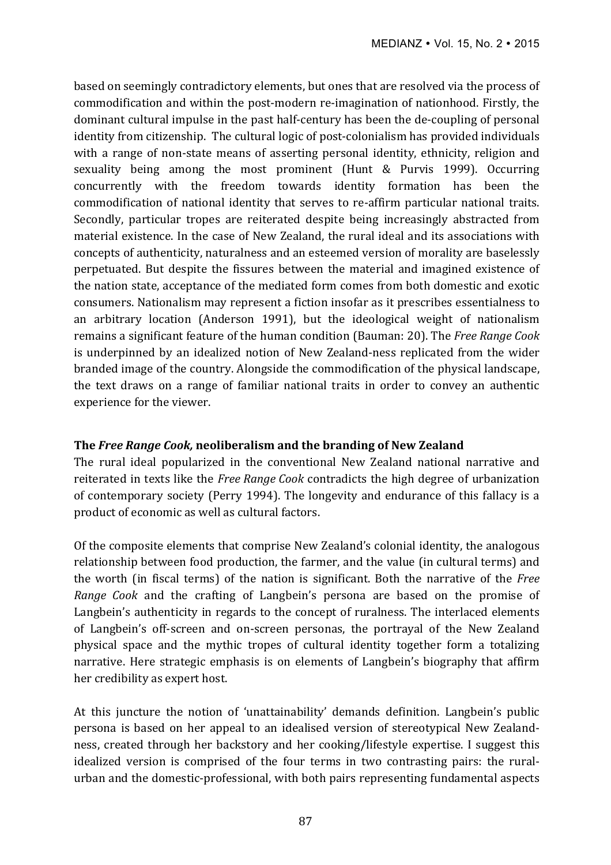based on seemingly contradictory elements, but ones that are resolved via the process of commodification and within the post-modern re-imagination of nationhood. Firstly, the dominant cultural impulse in the past half-century has been the de-coupling of personal identity from citizenship. The cultural logic of post-colonialism has provided individuals with a range of non-state means of asserting personal identity, ethnicity, religion and sexuality being among the most prominent (Hunt & Purvis 1999). Occurring concurrently with the freedom towards identity formation has been the commodification of national identity that serves to re-affirm particular national traits. Secondly, particular tropes are reiterated despite being increasingly abstracted from material existence. In the case of New Zealand, the rural ideal and its associations with concepts of authenticity, naturalness and an esteemed version of morality are baselessly perpetuated. But despite the fissures between the material and imagined existence of the nation state, acceptance of the mediated form comes from both domestic and exotic consumers. Nationalism may represent a fiction insofar as it prescribes essentialness to an arbitrary location (Anderson 1991), but the ideological weight of nationalism remains a significant feature of the human condition (Bauman: 20). The *Free Range Cook* is underpinned by an idealized notion of New Zealand-ness replicated from the wider branded image of the country. Alongside the commodification of the physical landscape, the text draws on a range of familiar national traits in order to convey an authentic experience for the viewer.

## **The Free Range Cook, neoliberalism and the branding of New Zealand**

The rural ideal popularized in the conventional New Zealand national narrative and reiterated in texts like the *Free Range Cook* contradicts the high degree of urbanization of contemporary society (Perry 1994). The longevity and endurance of this fallacy is a product of economic as well as cultural factors.

Of the composite elements that comprise New Zealand's colonial identity, the analogous relationship between food production, the farmer, and the value (in cultural terms) and the worth (in fiscal terms) of the nation is significant. Both the narrative of the *Free Range Cook* and the crafting of Langbein's persona are based on the promise of Langbein's authenticity in regards to the concept of ruralness. The interlaced elements of Langbein's off-screen and on-screen personas, the portrayal of the New Zealand physical space and the mythic tropes of cultural identity together form a totalizing narrative. Here strategic emphasis is on elements of Langbein's biography that affirm her credibility as expert host.

At this juncture the notion of 'unattainability' demands definition. Langbein's public persona is based on her appeal to an idealised version of stereotypical New Zealandness, created through her backstory and her cooking/lifestyle expertise. I suggest this idealized version is comprised of the four terms in two contrasting pairs: the ruralurban and the domestic-professional, with both pairs representing fundamental aspects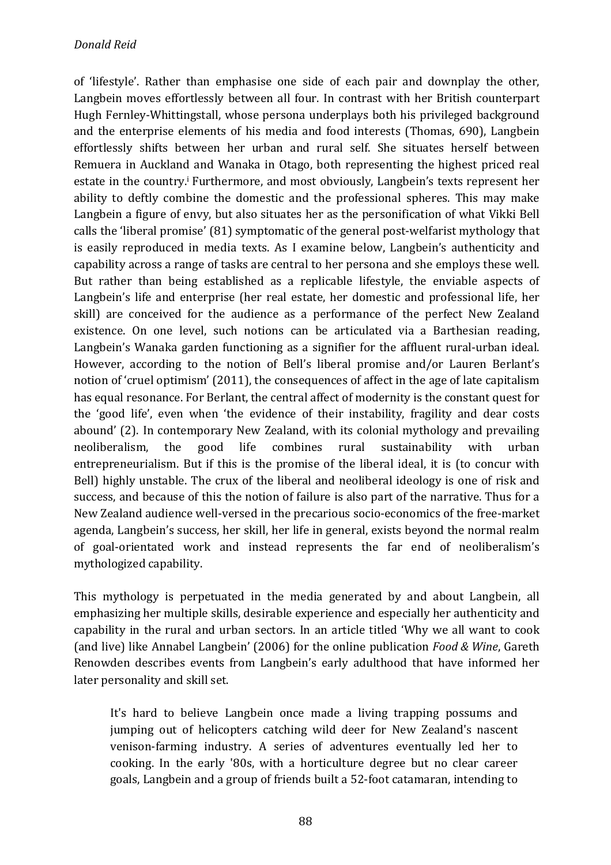of 'lifestyle'. Rather than emphasise one side of each pair and downplay the other, Langbein moves effortlessly between all four. In contrast with her British counterpart Hugh Fernley-Whittingstall, whose persona underplays both his privileged background and the enterprise elements of his media and food interests (Thomas, 690), Langbein effortlessly shifts between her urban and rural self. She situates herself between Remuera in Auckland and Wanaka in Otago, both representing the highest priced real estate in the country.<sup>i</sup> Furthermore, and most obviously, Langbein's texts represent her ability to deftly combine the domestic and the professional spheres. This may make Langbein a figure of envy, but also situates her as the personification of what Vikki Bell calls the 'liberal promise' (81) symptomatic of the general post-welfarist mythology that is easily reproduced in media texts. As I examine below, Langbein's authenticity and capability across a range of tasks are central to her persona and she employs these well. But rather than being established as a replicable lifestyle, the enviable aspects of Langbein's life and enterprise (her real estate, her domestic and professional life, her skill) are conceived for the audience as a performance of the perfect New Zealand existence. On one level, such notions can be articulated via a Barthesian reading, Langbein's Wanaka garden functioning as a signifier for the affluent rural-urban ideal. However, according to the notion of Bell's liberal promise and/or Lauren Berlant's notion of 'cruel optimism' (2011), the consequences of affect in the age of late capitalism has equal resonance. For Berlant, the central affect of modernity is the constant quest for the 'good life', even when 'the evidence of their instability, fragility and dear costs abound' (2). In contemporary New Zealand, with its colonial mythology and prevailing neoliberalism, the good life combines rural sustainability with urban entrepreneurialism. But if this is the promise of the liberal ideal, it is (to concur with Bell) highly unstable. The crux of the liberal and neoliberal ideology is one of risk and success, and because of this the notion of failure is also part of the narrative. Thus for a New Zealand audience well-versed in the precarious socio-economics of the free-market agenda, Langbein's success, her skill, her life in general, exists beyond the normal realm of goal-orientated work and instead represents the far end of neoliberalism's mythologized capability. 

This mythology is perpetuated in the media generated by and about Langbein, all emphasizing her multiple skills, desirable experience and especially her authenticity and capability in the rural and urban sectors. In an article titled 'Why we all want to cook (and live) like Annabel Langbein' (2006) for the online publication *Food & Wine*, Gareth Renowden describes events from Langbein's early adulthood that have informed her later personality and skill set.

It's hard to believe Langbein once made a living trapping possums and jumping out of helicopters catching wild deer for New Zealand's nascent venison-farming industry. A series of adventures eventually led her to cooking. In the early '80s, with a horticulture degree but no clear career goals, Langbein and a group of friends built a 52-foot catamaran, intending to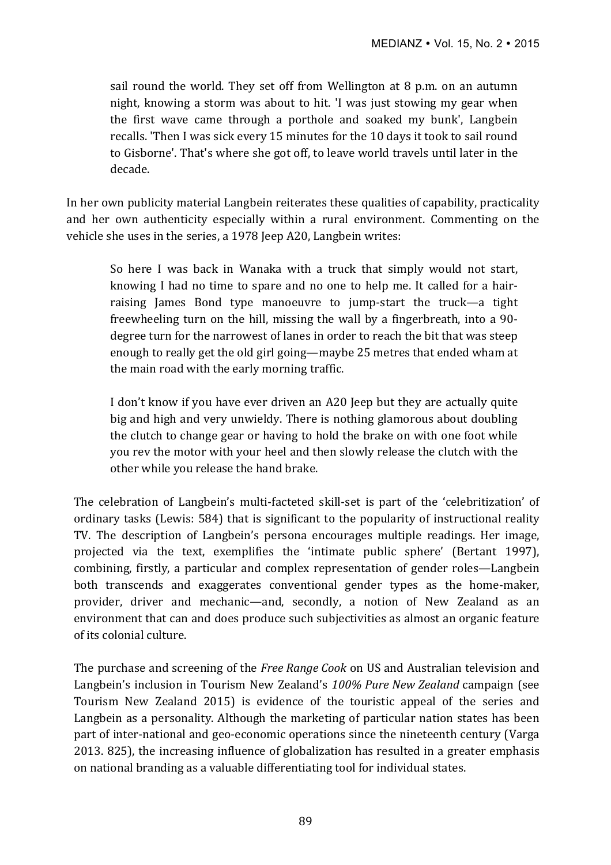sail round the world. They set off from Wellington at 8 p.m. on an autumn night, knowing a storm was about to hit. 'I was just stowing my gear when the first wave came through a porthole and soaked my bunk', Langbein recalls. 'Then I was sick every 15 minutes for the 10 days it took to sail round to Gisborne'. That's where she got off, to leave world travels until later in the decade.

In her own publicity material Langbein reiterates these qualities of capability, practicality and her own authenticity especially within a rural environment. Commenting on the vehicle she uses in the series, a 1978 Jeep A20, Langbein writes:

So here I was back in Wanaka with a truck that simply would not start, knowing I had no time to spare and no one to help me. It called for a hairraising James Bond type manoeuvre to jump-start the truck—a tight freewheeling turn on the hill, missing the wall by a fingerbreath, into a  $90$ degree turn for the narrowest of lanes in order to reach the bit that was steep enough to really get the old girl going—maybe 25 metres that ended wham at the main road with the early morning traffic.

I don't know if you have ever driven an A20 Jeep but they are actually quite big and high and very unwieldy. There is nothing glamorous about doubling the clutch to change gear or having to hold the brake on with one foot while you rev the motor with your heel and then slowly release the clutch with the other while you release the hand brake.

The celebration of Langbein's multi-facteted skill-set is part of the 'celebritization' of ordinary tasks (Lewis: 584) that is significant to the popularity of instructional reality TV. The description of Langbein's persona encourages multiple readings. Her image, projected via the text, exemplifies the 'intimate public sphere' (Bertant 1997), combining, firstly, a particular and complex representation of gender roles—Langbein both transcends and exaggerates conventional gender types as the home-maker, provider, driver and mechanic—and, secondly, a notion of New Zealand as an environment that can and does produce such subjectivities as almost an organic feature of its colonial culture.

The purchase and screening of the *Free Range Cook* on US and Australian television and Langbein's inclusion in Tourism New Zealand's 100% Pure New Zealand campaign (see Tourism New Zealand 2015) is evidence of the touristic appeal of the series and Langbein as a personality. Although the marketing of particular nation states has been part of inter-national and geo-economic operations since the nineteenth century (Varga 2013. 825), the increasing influence of globalization has resulted in a greater emphasis on national branding as a valuable differentiating tool for individual states.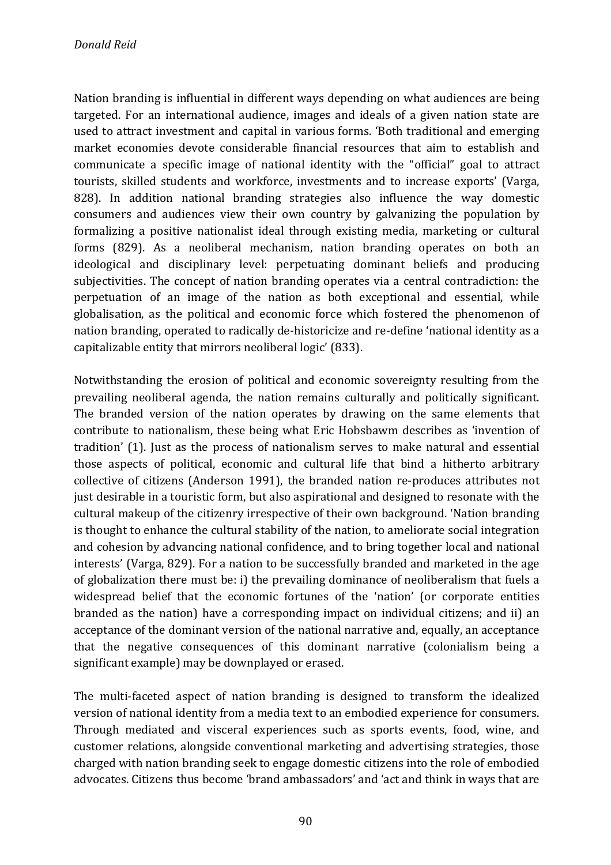Nation branding is influential in different ways depending on what audiences are being targeted. For an international audience, images and ideals of a given nation state are used to attract investment and capital in various forms. 'Both traditional and emerging market economies devote considerable financial resources that aim to establish and communicate a specific image of national identity with the "official" goal to attract tourists, skilled students and workforce, investments and to increase exports' (Varga, 828). In addition national branding strategies also influence the way domestic consumers and audiences view their own country by galvanizing the population by formalizing a positive nationalist ideal through existing media, marketing or cultural forms (829). As a neoliberal mechanism, nation branding operates on both an ideological and disciplinary level: perpetuating dominant beliefs and producing subjectivities. The concept of nation branding operates via a central contradiction: the perpetuation of an image of the nation as both exceptional and essential, while globalisation, as the political and economic force which fostered the phenomenon of nation branding, operated to radically de-historicize and re-define 'national identity as a capitalizable entity that mirrors neoliberal logic' (833).

Notwithstanding the erosion of political and economic sovereignty resulting from the prevailing neoliberal agenda, the nation remains culturally and politically significant. The branded version of the nation operates by drawing on the same elements that contribute to nationalism, these being what Eric Hobsbawm describes as 'invention of tradition' (1). Just as the process of nationalism serves to make natural and essential those aspects of political, economic and cultural life that bind a hitherto arbitrary collective of citizens (Anderson 1991), the branded nation re-produces attributes not just desirable in a touristic form, but also aspirational and designed to resonate with the cultural makeup of the citizenry irrespective of their own background. 'Nation branding is thought to enhance the cultural stability of the nation, to ameliorate social integration and cohesion by advancing national confidence, and to bring together local and national interests' (Varga, 829). For a nation to be successfully branded and marketed in the age of globalization there must be: i) the prevailing dominance of neoliberalism that fuels a widespread belief that the economic fortunes of the 'nation' (or corporate entities branded as the nation) have a corresponding impact on individual citizens; and ii) an acceptance of the dominant version of the national narrative and, equally, an acceptance that the negative consequences of this dominant narrative (colonialism being a significant example) may be downplayed or erased.

The multi-faceted aspect of nation branding is designed to transform the idealized version of national identity from a media text to an embodied experience for consumers. Through mediated and visceral experiences such as sports events, food, wine, and customer relations, alongside conventional marketing and advertising strategies, those charged with nation branding seek to engage domestic citizens into the role of embodied advocates. Citizens thus become 'brand ambassadors' and 'act and think in ways that are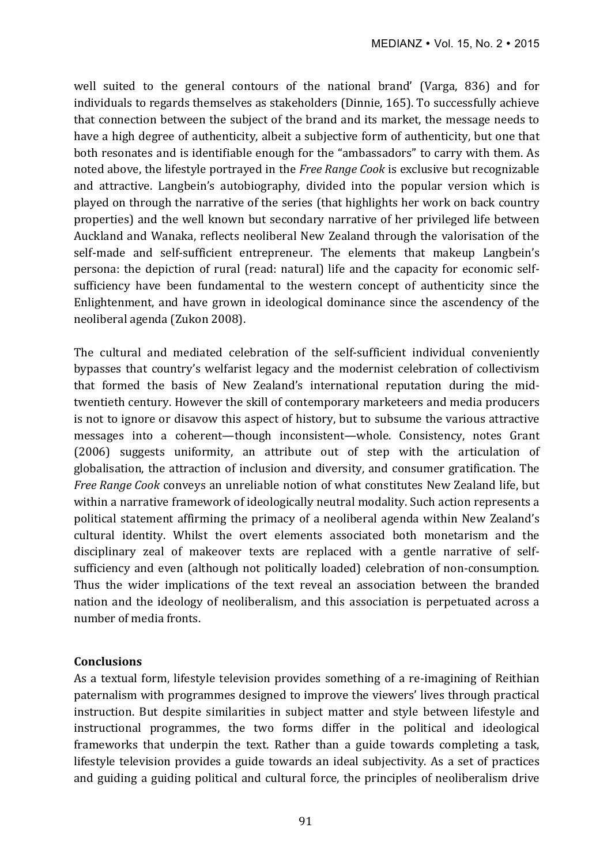well suited to the general contours of the national brand' (Varga, 836) and for individuals to regards themselves as stakeholders (Dinnie, 165). To successfully achieve that connection between the subject of the brand and its market, the message needs to have a high degree of authenticity, albeit a subjective form of authenticity, but one that both resonates and is identifiable enough for the "ambassadors" to carry with them. As noted above, the lifestyle portrayed in the *Free Range Cook* is exclusive but recognizable and attractive. Langbein's autobiography, divided into the popular version which is played on through the narrative of the series (that highlights her work on back country properties) and the well known but secondary narrative of her privileged life between Auckland and Wanaka, reflects neoliberal New Zealand through the valorisation of the self-made and self-sufficient entrepreneur. The elements that makeup Langbein's persona: the depiction of rural (read: natural) life and the capacity for economic selfsufficiency have been fundamental to the western concept of authenticity since the Enlightenment, and have grown in ideological dominance since the ascendency of the neoliberal agenda (Zukon 2008).

The cultural and mediated celebration of the self-sufficient individual conveniently bypasses that country's welfarist legacy and the modernist celebration of collectivism that formed the basis of New Zealand's international reputation during the midtwentieth century. However the skill of contemporary marketeers and media producers is not to ignore or disavow this aspect of history, but to subsume the various attractive messages into a coherent—though inconsistent—whole. Consistency, notes Grant (2006) suggests uniformity, an attribute out of step with the articulation of globalisation, the attraction of inclusion and diversity, and consumer gratification. The *Free Range Cook* conveys an unreliable notion of what constitutes New Zealand life, but within a narrative framework of ideologically neutral modality. Such action represents a political statement affirming the primacy of a neoliberal agenda within New Zealand's cultural identity. Whilst the overt elements associated both monetarism and the disciplinary zeal of makeover texts are replaced with a gentle narrative of selfsufficiency and even (although not politically loaded) celebration of non-consumption. Thus the wider implications of the text reveal an association between the branded nation and the ideology of neoliberalism, and this association is perpetuated across a number of media fronts.

## **Conclusions**

As a textual form, lifestyle television provides something of a re-imagining of Reithian paternalism with programmes designed to improve the viewers' lives through practical instruction. But despite similarities in subject matter and style between lifestyle and instructional programmes, the two forms differ in the political and ideological frameworks that underpin the text. Rather than a guide towards completing a task, lifestyle television provides a guide towards an ideal subjectivity. As a set of practices and guiding a guiding political and cultural force, the principles of neoliberalism drive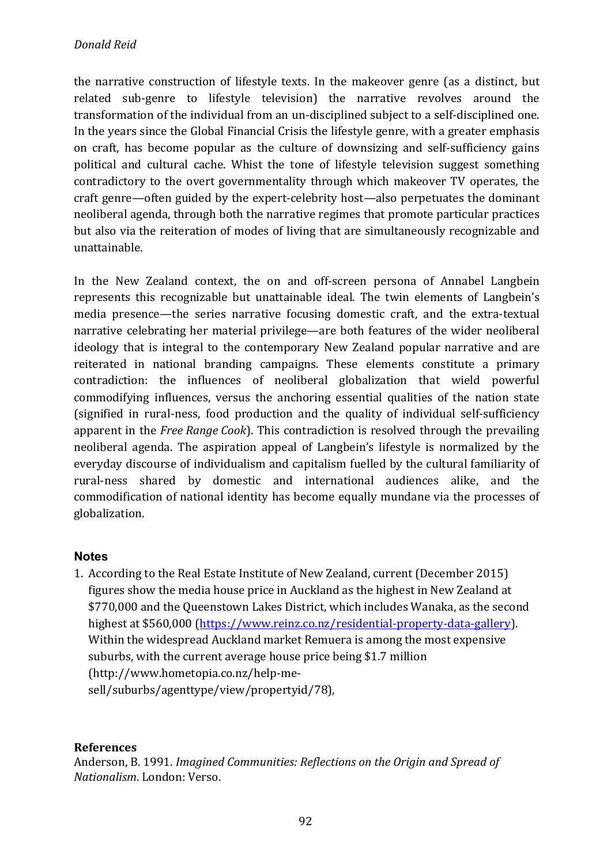the narrative construction of lifestyle texts. In the makeover genre (as a distinct, but related sub-genre to lifestyle television) the narrative revolves around the transformation of the individual from an un-disciplined subject to a self-disciplined one. In the vears since the Global Financial Crisis the lifestyle genre, with a greater emphasis on craft, has become popular as the culture of downsizing and self-sufficiency gains political and cultural cache. Whist the tone of lifestyle television suggest something contradictory to the overt governmentality through which makeover TV operates, the craft genre—often guided by the expert-celebrity host—also perpetuates the dominant neoliberal agenda, through both the narrative regimes that promote particular practices but also via the reiteration of modes of living that are simultaneously recognizable and unattainable. 

In the New Zealand context, the on and off-screen persona of Annabel Langbein represents this recognizable but unattainable ideal. The twin elements of Langbein's media presence—the series narrative focusing domestic craft, and the extra-textual narrative celebrating her material privilege—are both features of the wider neoliberal ideology that is integral to the contemporary New Zealand popular narrative and are reiterated in national branding campaigns. These elements constitute a primary contradiction: the influences of neoliberal globalization that wield powerful commodifying influences, versus the anchoring essential qualities of the nation state (signified in rural-ness, food production and the quality of individual self-sufficiency apparent in the *Free Range Cook*). This contradiction is resolved through the prevailing neoliberal agenda. The aspiration appeal of Langbein's lifestyle is normalized by the everyday discourse of individualism and capitalism fuelled by the cultural familiarity of rural-ness shared by domestic and international audiences alike, and the commodification of national identity has become equally mundane via the processes of globalization. 

# **Notes**

1. According to the Real Estate Institute of New Zealand, current (December 2015) figures show the media house price in Auckland as the highest in New Zealand at \$770,000 and the Queenstown Lakes District, which includes Wanaka, as the second highest at \$560,000 (https://www.reinz.co.nz/residential-property-data-gallery). Within the widespread Auckland market Remuera is among the most expensive suburbs, with the current average house price being \$1.7 million (http://www.hometopia.co.nz/help-mesell/suburbs/agenttype/view/propertyid/78),

# **References**

Anderson, B. 1991. *Imagined Communities: Reflections on the Origin and Spread of Nationalism*. London: Verso.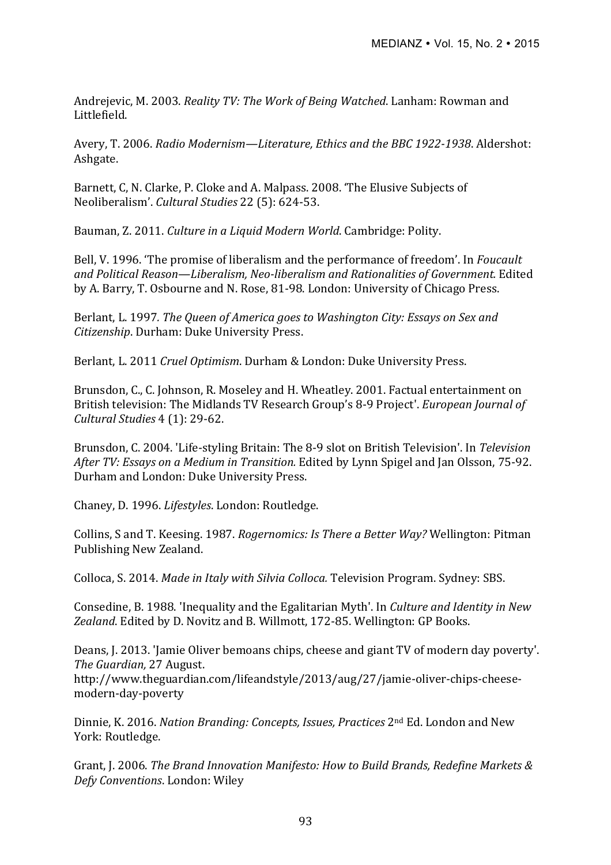Andrejevic, M. 2003. *Reality TV: The Work of Being Watched*. Lanham: Rowman and Littlefield.

Avery, T. 2006. *Radio Modernism—Literature, Ethics and the BBC 1922-1938*. Aldershot: Ashgate.

Barnett, C, N. Clarke, P. Cloke and A. Malpass. 2008. 'The Elusive Subjects of Neoliberalism'. *Cultural Studies* 22 (5): 624-53.

Bauman, Z. 2011. *Culture in a Liquid Modern World*. Cambridge: Polity.

Bell, V. 1996. 'The promise of liberalism and the performance of freedom'. In *Foucault* and Political Reason—Liberalism, Neo-liberalism and Rationalities of Government. Edited by A. Barry, T. Osbourne and N. Rose, 81-98. London: University of Chicago Press.

Berlant, L. 1997. The Queen of America goes to Washington City: Essays on Sex and *Citizenship*. Durham: Duke University Press.

Berlant, L. 2011 *Cruel Optimism*. Durham & London: Duke University Press.

Brunsdon, C., C. Johnson, R. Moseley and H. Wheatley. 2001. Factual entertainment on British television: The Midlands TV Research Group's 8-9 Project'. *European Journal of Cultural Studies* 4 (1): 29-62.

Brunsdon, C. 2004. 'Life-styling Britain: The 8-9 slot on British Television'. In *Television After TV: Essays on a Medium in Transition.* Edited by Lynn Spigel and Jan Olsson, 75-92. Durham and London: Duke University Press.

Chaney, D. 1996. *Lifestyles*. London: Routledge.

Collins, S and T. Keesing. 1987. *Rogernomics: Is There a Better Way?* Wellington: Pitman Publishing New Zealand.

Colloca, S. 2014. *Made in Italy with Silvia Colloca.* Television Program. Sydney: SBS.

Consedine, B. 1988. 'Inequality and the Egalitarian Myth'. In *Culture and Identity in New* Zealand. Edited by D. Novitz and B. Willmott, 172-85. Wellington: GP Books.

Deans, J. 2013. 'Jamie Oliver bemoans chips, cheese and giant TV of modern day poverty'. *The Guardian,* 27 August. http://www.theguardian.com/lifeandstyle/2013/aug/27/jamie-oliver-chips-cheesemodern-day-poverty

Dinnie, K. 2016. *Nation Branding: Concepts, Issues, Practices* 2<sup>nd</sup> Ed. London and New York: Routledge.

Grant, J. 2006. *The Brand Innovation Manifesto: How to Build Brands, Redefine Markets & Defy Conventions*. London: Wiley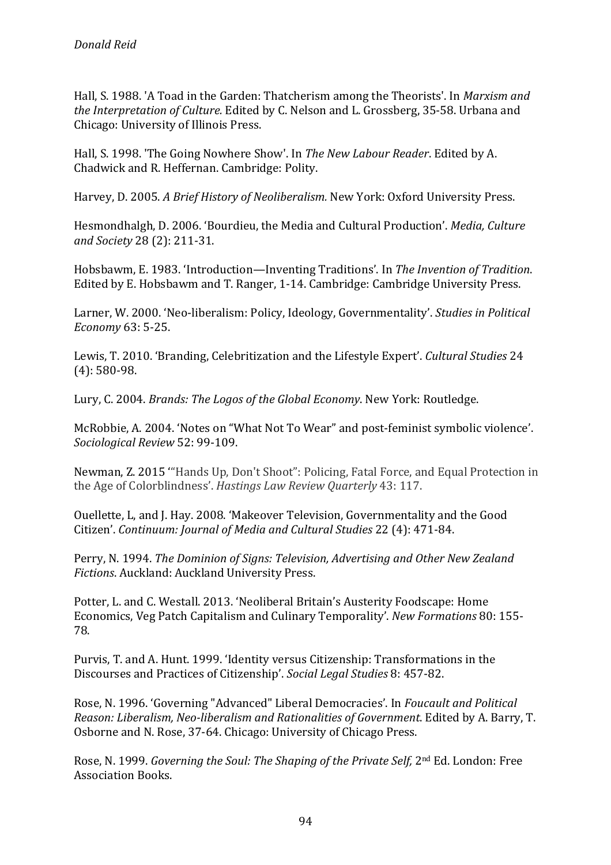Hall, S. 1988. 'A Toad in the Garden: Thatcherism among the Theorists'. In *Marxism and the Interpretation of Culture.* Edited by C. Nelson and L. Grossberg, 35-58. Urbana and Chicago: University of Illinois Press.

Hall, S. 1998. 'The Going Nowhere Show'. In *The New Labour Reader*. Edited by A. Chadwick and R. Heffernan. Cambridge: Polity.

Harvey, D. 2005. A Brief History of Neoliberalism. New York: Oxford University Press.

Hesmondhalgh, D. 2006. 'Bourdieu, the Media and Cultural Production'. *Media, Culture and Society* 28 (2): 211-31.

Hobsbawm, E. 1983. 'Introduction—Inventing Traditions'. In *The Invention of Tradition*. Edited by E. Hobsbawm and T. Ranger, 1-14. Cambridge: Cambridge University Press.

Larner, W. 2000. 'Neo-liberalism: Policy, Ideology, Governmentality', *Studies in Political Economy* 63: 5-25.

Lewis, T. 2010. 'Branding, Celebritization and the Lifestyle Expert'. *Cultural Studies* 24  $(4): 580-98.$ 

Lury, C. 2004. *Brands: The Logos of the Global Economy*. New York: Routledge.

McRobbie, A. 2004. 'Notes on "What Not To Wear" and post-feminist symbolic violence'. *Sociological Review* 52: 99-109.

Newman, Z. 2015 "Hands Up, Don't Shoot": Policing, Fatal Force, and Equal Protection in the Age of Colorblindness'. *Hastings Law Review Quarterly* 43: 117.

Ouellette, L, and J. Hay. 2008. 'Makeover Television, Governmentality and the Good Citizen'. *Continuum: Journal of Media and Cultural Studies* 22 (4): 471-84.

Perry, N. 1994. *The Dominion of Signs: Television, Advertising and Other New Zealand Fictions*. Auckland: Auckland University Press.

Potter, L. and C. Westall. 2013. 'Neoliberal Britain's Austerity Foodscape: Home Economics, Veg Patch Capitalism and Culinary Temporality'. *New Formations* 80: 155- 78.

Purvis, T. and A. Hunt. 1999. 'Identity versus Citizenship: Transformations in the Discourses and Practices of Citizenship'. *Social Legal Studies* 8: 457-82.

Rose, N. 1996. 'Governing "Advanced" Liberal Democracies'. In *Foucault and Political Reason: Liberalism, Neo-liberalism and Rationalities of Government. Edited by A. Barry, T.* Osborne and N. Rose, 37-64. Chicago: University of Chicago Press.

Rose, N. 1999. *Governing the Soul: The Shaping of the Private Self,* 2<sup>nd</sup> Ed. London: Free Association Books.